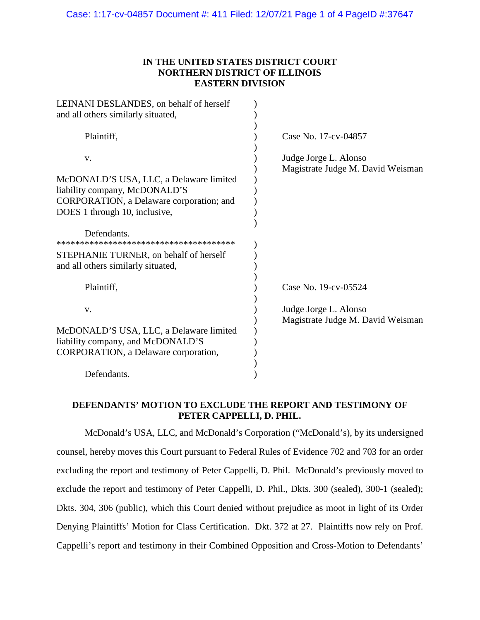## **IN THE UNITED STATES DISTRICT COURT NORTHERN DISTRICT OF ILLINOIS EASTERN DIVISION**

| LEINANI DESLANDES, on behalf of herself<br>and all others similarly situated,                                        |                                                            |
|----------------------------------------------------------------------------------------------------------------------|------------------------------------------------------------|
| Plaintiff,                                                                                                           | Case No. 17-cv-04857                                       |
| V.                                                                                                                   | Judge Jorge L. Alonso<br>Magistrate Judge M. David Weisman |
| McDONALD'S USA, LLC, a Delaware limited<br>liability company, McDONALD'S<br>CORPORATION, a Delaware corporation; and |                                                            |
| DOES 1 through 10, inclusive,                                                                                        |                                                            |
| Defendants.                                                                                                          |                                                            |
| STEPHANIE TURNER, on behalf of herself<br>and all others similarly situated,                                         |                                                            |
| Plaintiff,                                                                                                           | Case No. 19-cv-05524                                       |
| V.                                                                                                                   | Judge Jorge L. Alonso<br>Magistrate Judge M. David Weisman |
| McDONALD'S USA, LLC, a Delaware limited                                                                              |                                                            |
| liability company, and McDONALD'S<br>CORPORATION, a Delaware corporation,                                            |                                                            |
| Defendants.                                                                                                          |                                                            |

## **DEFENDANTS' MOTION TO EXCLUDE THE REPORT AND TESTIMONY OF PETER CAPPELLI, D. PHIL.**

McDonald's USA, LLC, and McDonald's Corporation ("McDonald's), by its undersigned counsel, hereby moves this Court pursuant to Federal Rules of Evidence 702 and 703 for an order excluding the report and testimony of Peter Cappelli, D. Phil. McDonald's previously moved to exclude the report and testimony of Peter Cappelli, D. Phil., Dkts. 300 (sealed), 300-1 (sealed); Dkts. 304, 306 (public), which this Court denied without prejudice as moot in light of its Order Denying Plaintiffs' Motion for Class Certification. Dkt. 372 at 27. Plaintiffs now rely on Prof. Cappelli's report and testimony in their Combined Opposition and Cross-Motion to Defendants'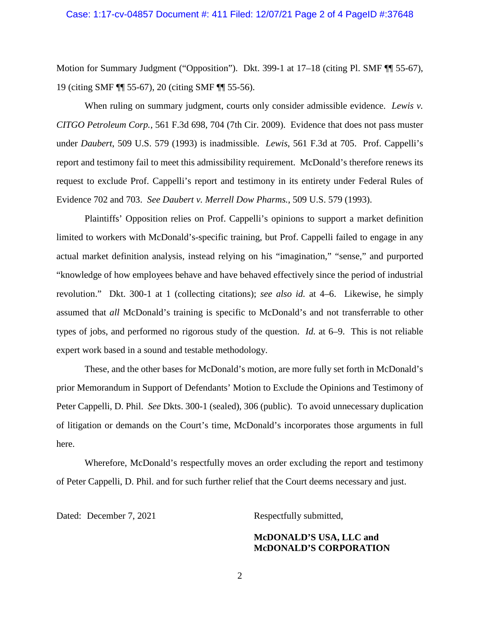#### Case: 1:17-cv-04857 Document #: 411 Filed: 12/07/21 Page 2 of 4 PageID #:37648

Motion for Summary Judgment ("Opposition"). Dkt. 399-1 at 17–18 (citing Pl. SMF ¶ 55-67), 19 (citing SMF ¶¶ 55-67), 20 (citing SMF ¶¶ 55-56).

When ruling on summary judgment, courts only consider admissible evidence. *Lewis v. CITGO Petroleum Corp.*, 561 F.3d 698, 704 (7th Cir. 2009). Evidence that does not pass muster under *Daubert*, 509 U.S. 579 (1993) is inadmissible. *Lewis*, 561 F.3d at 705. Prof. Cappelli's report and testimony fail to meet this admissibility requirement. McDonald's therefore renews its request to exclude Prof. Cappelli's report and testimony in its entirety under Federal Rules of Evidence 702 and 703. *See Daubert v. Merrell Dow Pharms.*, 509 U.S. 579 (1993).

Plaintiffs' Opposition relies on Prof. Cappelli's opinions to support a market definition limited to workers with McDonald's-specific training, but Prof. Cappelli failed to engage in any actual market definition analysis, instead relying on his "imagination," "sense," and purported "knowledge of how employees behave and have behaved effectively since the period of industrial revolution." Dkt. 300-1 at 1 (collecting citations); *see also id.* at 4–6. Likewise, he simply assumed that *all* McDonald's training is specific to McDonald's and not transferrable to other types of jobs, and performed no rigorous study of the question. *Id.* at 6–9. This is not reliable expert work based in a sound and testable methodology.

These, and the other bases for McDonald's motion, are more fully set forth in McDonald's prior Memorandum in Support of Defendants' Motion to Exclude the Opinions and Testimony of Peter Cappelli, D. Phil. *See* Dkts. 300-1 (sealed), 306 (public). To avoid unnecessary duplication of litigation or demands on the Court's time, McDonald's incorporates those arguments in full here.

Wherefore, McDonald's respectfully moves an order excluding the report and testimony of Peter Cappelli, D. Phil. and for such further relief that the Court deems necessary and just.

Dated: December 7, 2021 Respectfully submitted,

**McDONALD'S USA, LLC and McDONALD'S CORPORATION**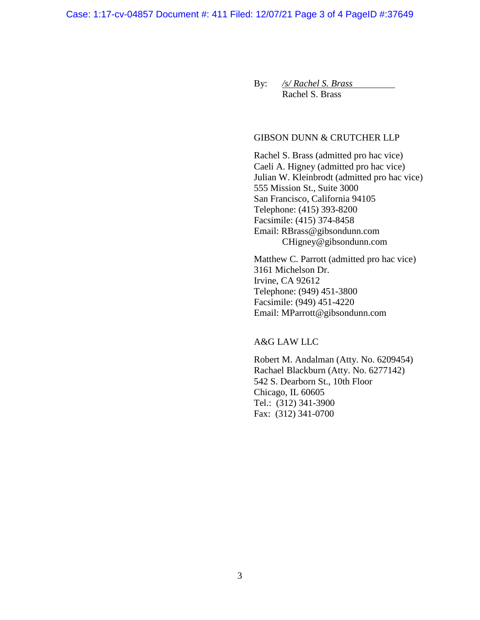By: */s/ Rachel S. Brass* Rachel S. Brass

### GIBSON DUNN & CRUTCHER LLP

Rachel S. Brass (admitted pro hac vice) Caeli A. Higney (admitted pro hac vice) Julian W. Kleinbrodt (admitted pro hac vice) 555 Mission St., Suite 3000 San Francisco, California 94105 Telephone: (415) 393-8200 Facsimile: (415) 374-8458 Email: RBrass@gibsondunn.com CHigney@gibsondunn.com

Matthew C. Parrott (admitted pro hac vice) 3161 Michelson Dr. Irvine, CA 92612 Telephone: (949) 451-3800 Facsimile: (949) 451-4220 Email: MParrott@gibsondunn.com

A&G LAW LLC

Robert M. Andalman (Atty. No. 6209454) Rachael Blackburn (Atty. No. 6277142) 542 S. Dearborn St., 10th Floor Chicago, IL 60605 Tel.: (312) 341-3900 Fax: (312) 341-0700